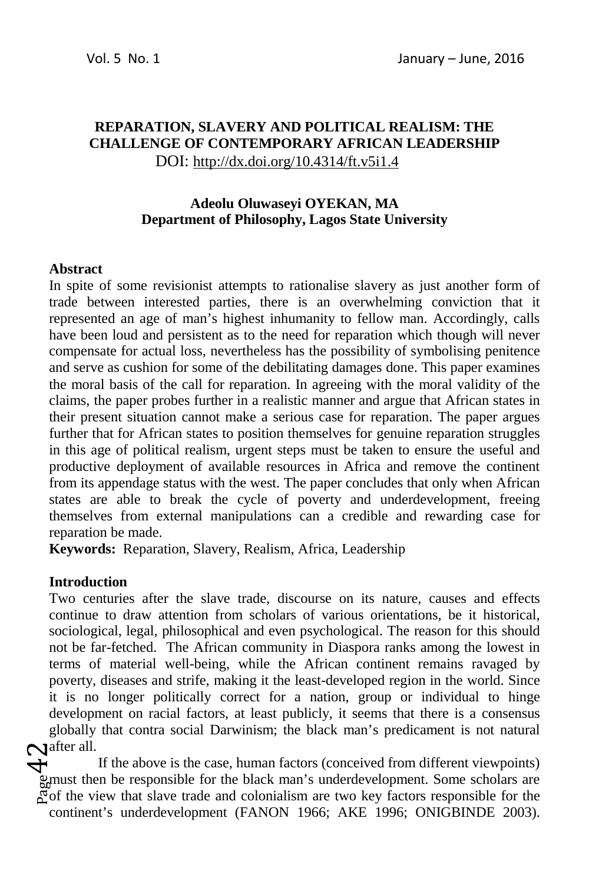# **REPARATION, SLAVERY AND POLITICAL REALISM: THE CHALLENGE OF CONTEMPORARY AFRICAN LEADERSHIP**  DOI: http://dx.doi.org/10.4314/ft.v5i1.4

# **Adeolu Oluwaseyi OYEKAN, MA Department of Philosophy, Lagos State University**

### **Abstract**

In spite of some revisionist attempts to rationalise slavery as just another form of trade between interested parties, there is an overwhelming conviction that it represented an age of man's highest inhumanity to fellow man. Accordingly, calls have been loud and persistent as to the need for reparation which though will never compensate for actual loss, nevertheless has the possibility of symbolising penitence and serve as cushion for some of the debilitating damages done. This paper examines the moral basis of the call for reparation. In agreeing with the moral validity of the claims, the paper probes further in a realistic manner and argue that African states in their present situation cannot make a serious case for reparation. The paper argues further that for African states to position themselves for genuine reparation struggles in this age of political realism, urgent steps must be taken to ensure the useful and productive deployment of available resources in Africa and remove the continent from its appendage status with the west. The paper concludes that only when African states are able to break the cycle of poverty and underdevelopment, freeing themselves from external manipulations can a credible and rewarding case for reparation be made.

**Keywords:** Reparation, Slavery, Realism, Africa, Leadership

### **Introduction**

Two centuries after the slave trade, discourse on its nature, causes and effects continue to draw attention from scholars of various orientations, be it historical, sociological, legal, philosophical and even psychological. The reason for this should not be far-fetched. The African community in Diaspora ranks among the lowest in terms of material well-being, while the African continent remains ravaged by poverty, diseases and strife, making it the least-developed region in the world. Since it is no longer politically correct for a nation, group or individual to hinge development on racial factors, at least publicly, it seems that there is a consensus globally that contra social Darwinism; the black man's predicament is not natural Mafter all.

 $\Phi^\text{ant}_\text{g}$ If the above is the case, human factors (conceived from different viewpoints) must then be responsible for the black man's underdevelopment. Some scholars are of the view that slave trade and colonialism are two key factors responsible for the continent's underdevelopment (FANON 1966; AKE 1996; ONIGBINDE 2003).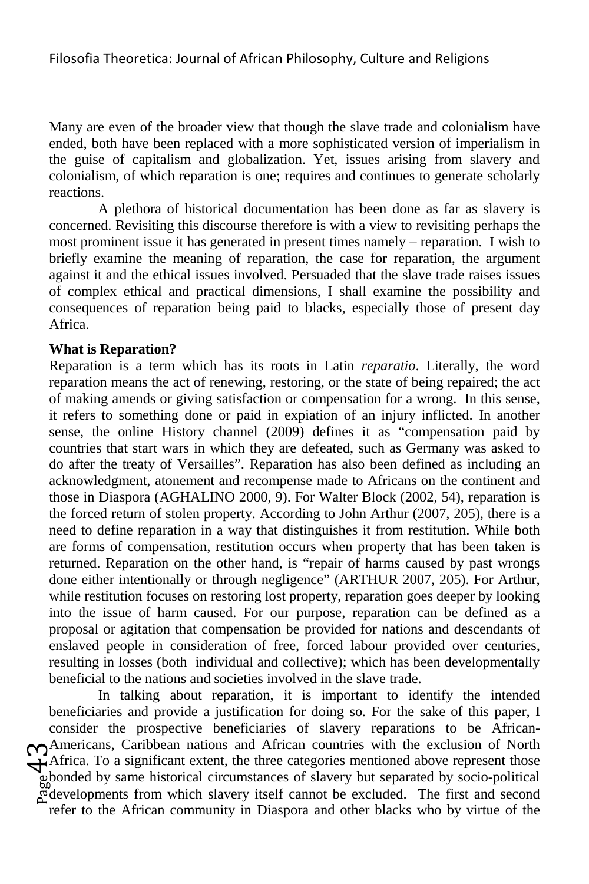Many are even of the broader view that though the slave trade and colonialism have ended, both have been replaced with a more sophisticated version of imperialism in the guise of capitalism and globalization. Yet, issues arising from slavery and colonialism, of which reparation is one; requires and continues to generate scholarly reactions.

 A plethora of historical documentation has been done as far as slavery is concerned. Revisiting this discourse therefore is with a view to revisiting perhaps the most prominent issue it has generated in present times namely – reparation. I wish to briefly examine the meaning of reparation, the case for reparation, the argument against it and the ethical issues involved. Persuaded that the slave trade raises issues of complex ethical and practical dimensions, I shall examine the possibility and consequences of reparation being paid to blacks, especially those of present day Africa.

## **What is Reparation?**

Reparation is a term which has its roots in Latin *reparatio*. Literally, the word reparation means the act of renewing, restoring, or the state of being repaired; the act of making amends or giving satisfaction or compensation for a wrong. In this sense, it refers to something done or paid in expiation of an injury inflicted. In another sense, the online History channel (2009) defines it as "compensation paid by countries that start wars in which they are defeated, such as Germany was asked to do after the treaty of Versailles". Reparation has also been defined as including an acknowledgment, atonement and recompense made to Africans on the continent and those in Diaspora (AGHALINO 2000, 9). For Walter Block (2002, 54), reparation is the forced return of stolen property. According to John Arthur (2007, 205), there is a need to define reparation in a way that distinguishes it from restitution. While both are forms of compensation, restitution occurs when property that has been taken is returned. Reparation on the other hand, is "repair of harms caused by past wrongs done either intentionally or through negligence" (ARTHUR 2007, 205). For Arthur, while restitution focuses on restoring lost property, reparation goes deeper by looking into the issue of harm caused. For our purpose, reparation can be defined as a proposal or agitation that compensation be provided for nations and descendants of enslaved people in consideration of free, forced labour provided over centuries, resulting in losses (both individual and collective); which has been developmentally beneficial to the nations and societies involved in the slave trade.

Maintendums and African countries with the exclusion of North Marican. To a significant extent, the three categories mentioned above represent those subonded by same historical circumstances of slavery but separated by soc In talking about reparation, it is important to identify the intended beneficiaries and provide a justification for doing so. For the sake of this paper, I consider the prospective beneficiaries of slavery reparations to be African-Americans, Caribbean nations and African countries with the exclusion of North Africa. To a significant extent, the three categories mentioned above represent those bonded by same historical circumstances of slavery but separated by socio-political refer to the African community in Diaspora and other blacks who by virtue of the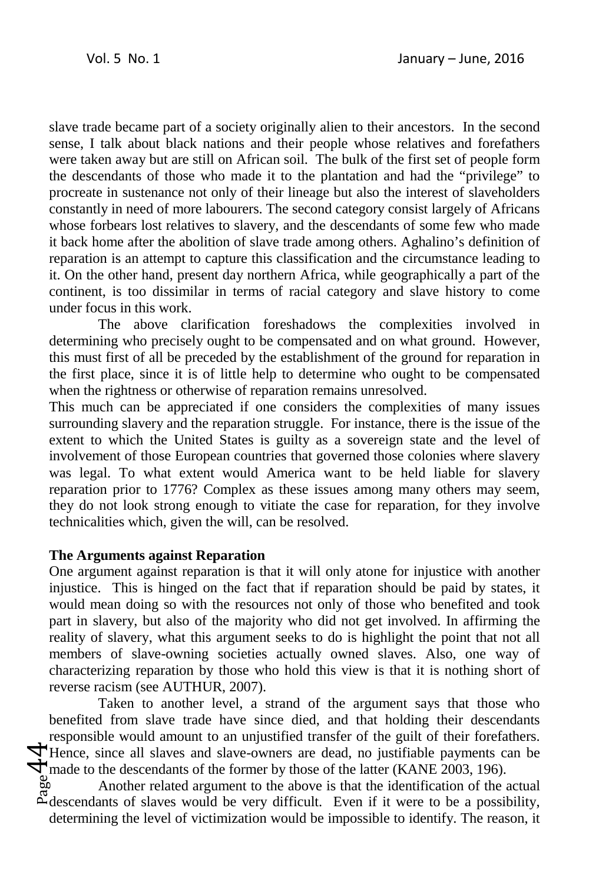slave trade became part of a society originally alien to their ancestors. In the second sense, I talk about black nations and their people whose relatives and forefathers were taken away but are still on African soil. The bulk of the first set of people form the descendants of those who made it to the plantation and had the "privilege" to procreate in sustenance not only of their lineage but also the interest of slaveholders constantly in need of more labourers. The second category consist largely of Africans whose forbears lost relatives to slavery, and the descendants of some few who made it back home after the abolition of slave trade among others. Aghalino's definition of reparation is an attempt to capture this classification and the circumstance leading to it. On the other hand, present day northern Africa, while geographically a part of the continent, is too dissimilar in terms of racial category and slave history to come under focus in this work.

 The above clarification foreshadows the complexities involved in determining who precisely ought to be compensated and on what ground. However, this must first of all be preceded by the establishment of the ground for reparation in the first place, since it is of little help to determine who ought to be compensated when the rightness or otherwise of reparation remains unresolved.

This much can be appreciated if one considers the complexities of many issues surrounding slavery and the reparation struggle. For instance, there is the issue of the extent to which the United States is guilty as a sovereign state and the level of involvement of those European countries that governed those colonies where slavery was legal. To what extent would America want to be held liable for slavery reparation prior to 1776? Complex as these issues among many others may seem, they do not look strong enough to vitiate the case for reparation, for they involve technicalities which, given the will, can be resolved.

### **The Arguments against Reparation**

One argument against reparation is that it will only atone for injustice with another injustice. This is hinged on the fact that if reparation should be paid by states, it would mean doing so with the resources not only of those who benefited and took part in slavery, but also of the majority who did not get involved. In affirming the reality of slavery, what this argument seeks to do is highlight the point that not all members of slave-owning societies actually owned slaves. Also, one way of characterizing reparation by those who hold this view is that it is nothing short of reverse racism (see AUTHUR, 2007).

 $\Phi_{\text{mag}}^{\text{H}}$ Taken to another level, a strand of the argument says that those who benefited from slave trade have since died, and that holding their descendants responsible would amount to an unjustified transfer of the guilt of their forefathers.  $\forall$  Hence, since all slaves and slave-owners are dead, no justifiable payments can be made to the descendants of the former by those of the latter (KANE 2003, 196).

Another related argument to the above is that the identification of the actual  $\mathbb{E}_{\text{descendants}}$  of slaves would be very difficult. Even if it were to be a possibility, determining the level of victimization would be impossible to identify. The reason, it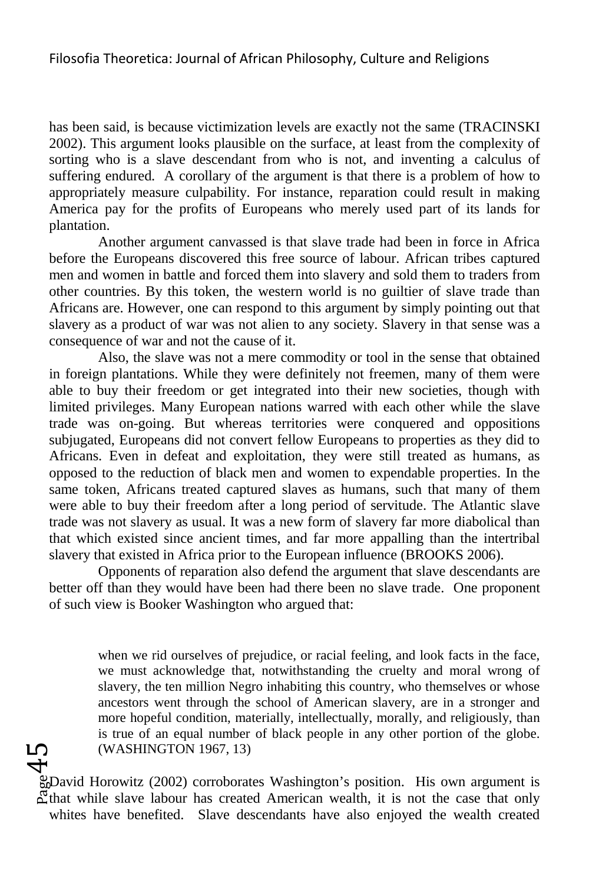has been said, is because victimization levels are exactly not the same (TRACINSKI 2002). This argument looks plausible on the surface, at least from the complexity of sorting who is a slave descendant from who is not, and inventing a calculus of suffering endured. A corollary of the argument is that there is a problem of how to appropriately measure culpability. For instance, reparation could result in making America pay for the profits of Europeans who merely used part of its lands for plantation.

Another argument canvassed is that slave trade had been in force in Africa before the Europeans discovered this free source of labour. African tribes captured men and women in battle and forced them into slavery and sold them to traders from other countries. By this token, the western world is no guiltier of slave trade than Africans are. However, one can respond to this argument by simply pointing out that slavery as a product of war was not alien to any society. Slavery in that sense was a consequence of war and not the cause of it.

Also, the slave was not a mere commodity or tool in the sense that obtained in foreign plantations. While they were definitely not freemen, many of them were able to buy their freedom or get integrated into their new societies, though with limited privileges. Many European nations warred with each other while the slave trade was on-going. But whereas territories were conquered and oppositions subjugated, Europeans did not convert fellow Europeans to properties as they did to Africans. Even in defeat and exploitation, they were still treated as humans, as opposed to the reduction of black men and women to expendable properties. In the same token, Africans treated captured slaves as humans, such that many of them were able to buy their freedom after a long period of servitude. The Atlantic slave trade was not slavery as usual. It was a new form of slavery far more diabolical than that which existed since ancient times, and far more appalling than the intertribal slavery that existed in Africa prior to the European influence (BROOKS 2006).

Opponents of reparation also defend the argument that slave descendants are better off than they would have been had there been no slave trade. One proponent of such view is Booker Washington who argued that:

when we rid ourselves of prejudice, or racial feeling, and look facts in the face, we must acknowledge that, notwithstanding the cruelty and moral wrong of slavery, the ten million Negro inhabiting this country, who themselves or whose ancestors went through the school of American slavery, are in a stronger and more hopeful condition, materially, intellectually, morally, and religiously, than is true of an equal number of black people in any other portion of the globe. (WASHINGTON 1967, 13)

 $\rm H_{\rm age}^{\rm gap}$ 

David Horowitz (2002) corroborates Washington's position. His own argument is  $\mathbb{Z}$  that while slave labour has created American wealth, it is not the case that only whites have benefited. Slave descendants have also enjoyed the wealth created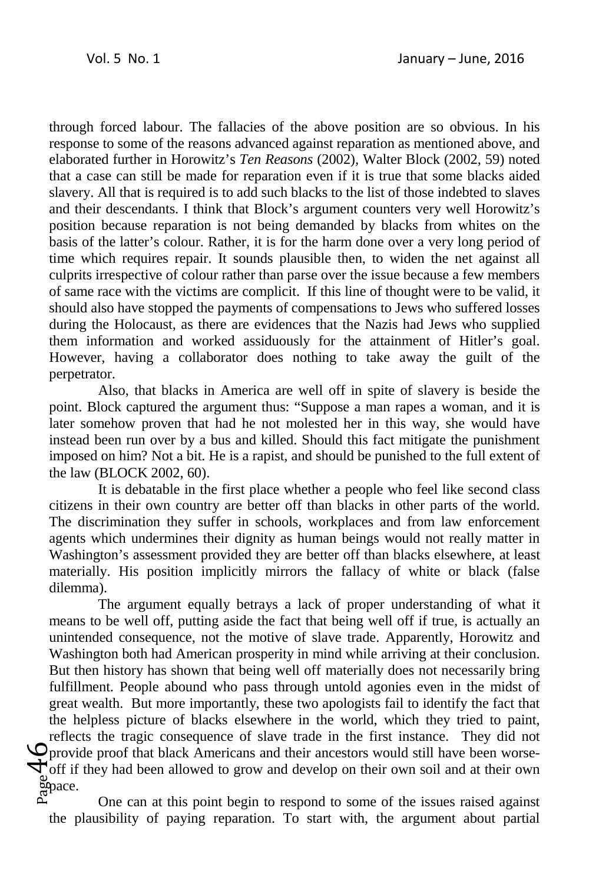through forced labour. The fallacies of the above position are so obvious. In his response to some of the reasons advanced against reparation as mentioned above, and elaborated further in Horowitz's *Ten Reasons* (2002)*,* Walter Block (2002, 59) noted that a case can still be made for reparation even if it is true that some blacks aided slavery. All that is required is to add such blacks to the list of those indebted to slaves and their descendants. I think that Block's argument counters very well Horowitz's position because reparation is not being demanded by blacks from whites on the basis of the latter's colour. Rather, it is for the harm done over a very long period of time which requires repair. It sounds plausible then, to widen the net against all culprits irrespective of colour rather than parse over the issue because a few members of same race with the victims are complicit. If this line of thought were to be valid, it should also have stopped the payments of compensations to Jews who suffered losses during the Holocaust, as there are evidences that the Nazis had Jews who supplied them information and worked assiduously for the attainment of Hitler's goal. However, having a collaborator does nothing to take away the guilt of the perpetrator.

Also, that blacks in America are well off in spite of slavery is beside the point. Block captured the argument thus: "Suppose a man rapes a woman, and it is later somehow proven that had he not molested her in this way, she would have instead been run over by a bus and killed. Should this fact mitigate the punishment imposed on him? Not a bit. He is a rapist, and should be punished to the full extent of the law (BLOCK 2002, 60).

It is debatable in the first place whether a people who feel like second class citizens in their own country are better off than blacks in other parts of the world. The discrimination they suffer in schools, workplaces and from law enforcement agents which undermines their dignity as human beings would not really matter in Washington's assessment provided they are better off than blacks elsewhere, at least materially. His position implicitly mirrors the fallacy of white or black (false dilemma).

 $\Phi_{\rm{geap}}^{\rm{per}}$ The argument equally betrays a lack of proper understanding of what it means to be well off, putting aside the fact that being well off if true, is actually an unintended consequence, not the motive of slave trade. Apparently, Horowitz and Washington both had American prosperity in mind while arriving at their conclusion. But then history has shown that being well off materially does not necessarily bring fulfillment. People abound who pass through untold agonies even in the midst of great wealth. But more importantly, these two apologists fail to identify the fact that the helpless picture of blacks elsewhere in the world, which they tried to paint, reflects the tragic consequence of slave trade in the first instance. They did not provide proof that black Americans and their ancestors would still have been worse- $\forall$  off if they had been allowed to grow and develop on their own soil and at their own pace.

One can at this point begin to respond to some of the issues raised against the plausibility of paying reparation. To start with, the argument about partial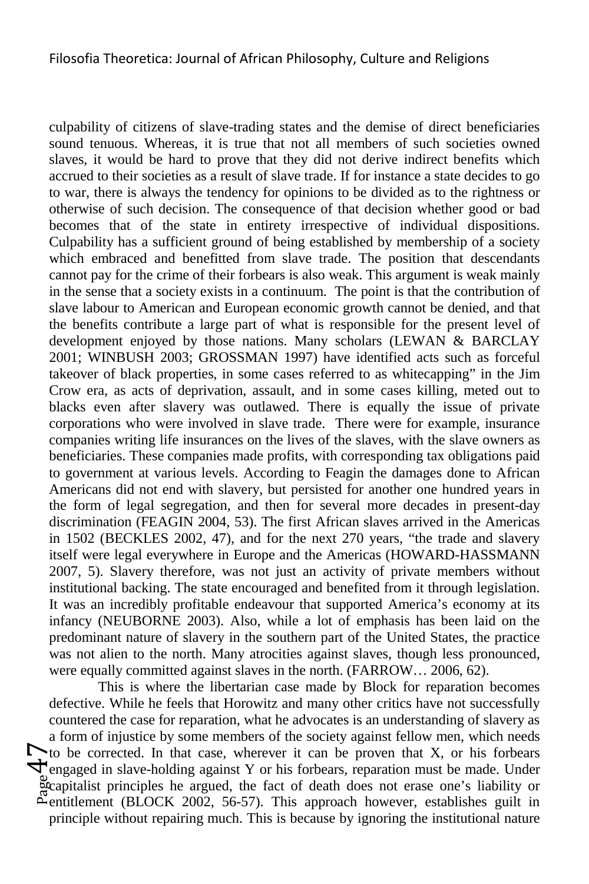culpability of citizens of slave-trading states and the demise of direct beneficiaries sound tenuous. Whereas, it is true that not all members of such societies owned slaves, it would be hard to prove that they did not derive indirect benefits which accrued to their societies as a result of slave trade. If for instance a state decides to go to war, there is always the tendency for opinions to be divided as to the rightness or otherwise of such decision. The consequence of that decision whether good or bad becomes that of the state in entirety irrespective of individual dispositions. Culpability has a sufficient ground of being established by membership of a society which embraced and benefitted from slave trade. The position that descendants cannot pay for the crime of their forbears is also weak. This argument is weak mainly in the sense that a society exists in a continuum. The point is that the contribution of slave labour to American and European economic growth cannot be denied, and that the benefits contribute a large part of what is responsible for the present level of development enjoyed by those nations. Many scholars (LEWAN & BARCLAY 2001; WINBUSH 2003; GROSSMAN 1997) have identified acts such as forceful takeover of black properties, in some cases referred to as whitecapping" in the Jim Crow era, as acts of deprivation, assault, and in some cases killing, meted out to blacks even after slavery was outlawed. There is equally the issue of private corporations who were involved in slave trade. There were for example, insurance companies writing life insurances on the lives of the slaves, with the slave owners as beneficiaries. These companies made profits, with corresponding tax obligations paid to government at various levels. According to Feagin the damages done to African Americans did not end with slavery, but persisted for another one hundred years in the form of legal segregation, and then for several more decades in present-day discrimination (FEAGIN 2004, 53). The first African slaves arrived in the Americas in 1502 (BECKLES 2002, 47), and for the next 270 years, "the trade and slavery itself were legal everywhere in Europe and the Americas (HOWARD-HASSMANN 2007, 5). Slavery therefore, was not just an activity of private members without institutional backing. The state encouraged and benefited from it through legislation. It was an incredibly profitable endeavour that supported America's economy at its infancy (NEUBORNE 2003). Also, while a lot of emphasis has been laid on the predominant nature of slavery in the southern part of the United States, the practice was not alien to the north. Many atrocities against slaves, though less pronounced, were equally committed against slaves in the north. (FARROW… 2006, 62).

 $\sum_{\substack{\text{geq} \ \text{area} \ \text{mean}}}$ This is where the libertarian case made by Block for reparation becomes defective. While he feels that Horowitz and many other critics have not successfully countered the case for reparation, what he advocates is an understanding of slavery as a form of injustice by some members of the society against fellow men, which needs  $\sum$  to be corrected. In that case, wherever it can be proven that X, or his forbears  $\forall$ engaged in slave-holding against Y or his forbears, reparation must be made. Under capitalist principles he argued, the fact of death does not erase one's liability or entitlement (BLOCK 2002, 56-57). This approach however, establishes guilt in principle without repairing much. This is because by ignoring the institutional nature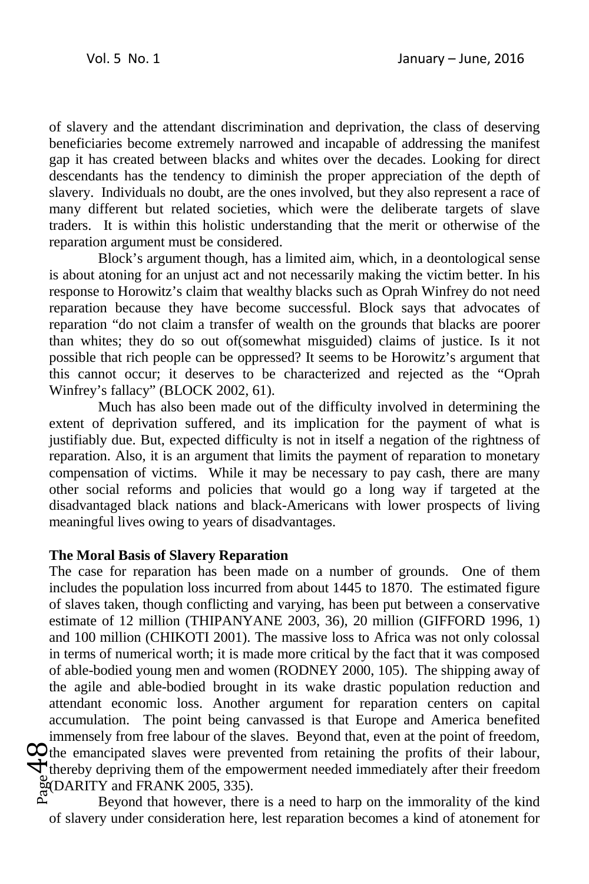of slavery and the attendant discrimination and deprivation, the class of deserving beneficiaries become extremely narrowed and incapable of addressing the manifest gap it has created between blacks and whites over the decades. Looking for direct descendants has the tendency to diminish the proper appreciation of the depth of slavery. Individuals no doubt, are the ones involved, but they also represent a race of many different but related societies, which were the deliberate targets of slave traders. It is within this holistic understanding that the merit or otherwise of the reparation argument must be considered.

Block's argument though, has a limited aim, which, in a deontological sense is about atoning for an unjust act and not necessarily making the victim better. In his response to Horowitz's claim that wealthy blacks such as Oprah Winfrey do not need reparation because they have become successful. Block says that advocates of reparation "do not claim a transfer of wealth on the grounds that blacks are poorer than whites; they do so out of(somewhat misguided) claims of justice. Is it not possible that rich people can be oppressed? It seems to be Horowitz's argument that this cannot occur; it deserves to be characterized and rejected as the "Oprah Winfrey's fallacy" (BLOCK 2002, 61).

Much has also been made out of the difficulty involved in determining the extent of deprivation suffered, and its implication for the payment of what is justifiably due. But, expected difficulty is not in itself a negation of the rightness of reparation. Also, it is an argument that limits the payment of reparation to monetary compensation of victims. While it may be necessary to pay cash, there are many other social reforms and policies that would go a long way if targeted at the disadvantaged black nations and black-Americans with lower prospects of living meaningful lives owing to years of disadvantages.

# **The Moral Basis of Slavery Reparation**

 $\Phi_{\substack{\text{g} \text{g} \text{p} \text{m}}}^{\text{the}}$ The case for reparation has been made on a number of grounds. One of them includes the population loss incurred from about 1445 to 1870. The estimated figure of slaves taken, though conflicting and varying, has been put between a conservative estimate of 12 million (THIPANYANE 2003, 36), 20 million (GIFFORD 1996, 1) and 100 million (CHIKOTI 2001). The massive loss to Africa was not only colossal in terms of numerical worth; it is made more critical by the fact that it was composed of able-bodied young men and women (RODNEY 2000, 105). The shipping away of the agile and able-bodied brought in its wake drastic population reduction and attendant economic loss. Another argument for reparation centers on capital accumulation. The point being canvassed is that Europe and America benefited immensely from free labour of the slaves. Beyond that, even at the point of freedom,  $\infty$ the emancipated slaves were prevented from retaining the profits of their labour,  $\forall$  thereby depriving them of the empowerment needed immediately after their freedom (DARITY and FRANK 2005, 335).

Beyond that however, there is a need to harp on the immorality of the kind of slavery under consideration here, lest reparation becomes a kind of atonement for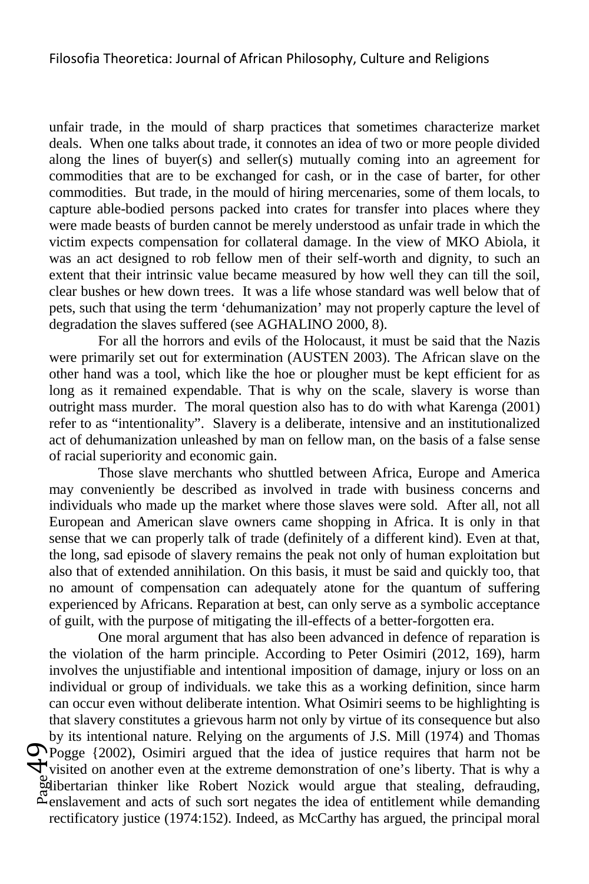unfair trade, in the mould of sharp practices that sometimes characterize market deals. When one talks about trade, it connotes an idea of two or more people divided along the lines of buyer(s) and seller(s) mutually coming into an agreement for commodities that are to be exchanged for cash, or in the case of barter, for other commodities. But trade, in the mould of hiring mercenaries, some of them locals, to capture able-bodied persons packed into crates for transfer into places where they were made beasts of burden cannot be merely understood as unfair trade in which the victim expects compensation for collateral damage. In the view of MKO Abiola, it was an act designed to rob fellow men of their self-worth and dignity, to such an extent that their intrinsic value became measured by how well they can till the soil, clear bushes or hew down trees. It was a life whose standard was well below that of pets, such that using the term 'dehumanization' may not properly capture the level of degradation the slaves suffered (see AGHALINO 2000, 8).

For all the horrors and evils of the Holocaust, it must be said that the Nazis were primarily set out for extermination (AUSTEN 2003). The African slave on the other hand was a tool, which like the hoe or plougher must be kept efficient for as long as it remained expendable. That is why on the scale, slavery is worse than outright mass murder. The moral question also has to do with what Karenga (2001) refer to as "intentionality". Slavery is a deliberate, intensive and an institutionalized act of dehumanization unleashed by man on fellow man, on the basis of a false sense of racial superiority and economic gain.

Those slave merchants who shuttled between Africa, Europe and America may conveniently be described as involved in trade with business concerns and individuals who made up the market where those slaves were sold. After all, not all European and American slave owners came shopping in Africa. It is only in that sense that we can properly talk of trade (definitely of a different kind). Even at that, the long, sad episode of slavery remains the peak not only of human exploitation but also that of extended annihilation. On this basis, it must be said and quickly too, that no amount of compensation can adequately atone for the quantum of suffering experienced by Africans. Reparation at best, can only serve as a symbolic acceptance of guilt, with the purpose of mitigating the ill-effects of a better-forgotten era.

 $\Phi_{\substack{\text{mid} \ \text{split} \ \mathbb{R}^{\text{min}}}}$ One moral argument that has also been advanced in defence of reparation is the violation of the harm principle. According to Peter Osimiri (2012, 169), harm involves the unjustifiable and intentional imposition of damage, injury or loss on an individual or group of individuals. we take this as a working definition, since harm can occur even without deliberate intention. What Osimiri seems to be highlighting is that slavery constitutes a grievous harm not only by virtue of its consequence but also by its intentional nature. Relying on the arguments of J.S. Mill (1974) and Thomas Pogge {2002), Osimiri argued that the idea of justice requires that harm not be visited on another even at the extreme demonstration of one's liberty. That is why a libertarian thinker like Robert Nozick would argue that stealing, defrauding,  $\mathbb{E}_{\text{enslavement and acts of such sort negates the idea of entilement while demanding}$ rectificatory justice (1974:152). Indeed, as McCarthy has argued, the principal moral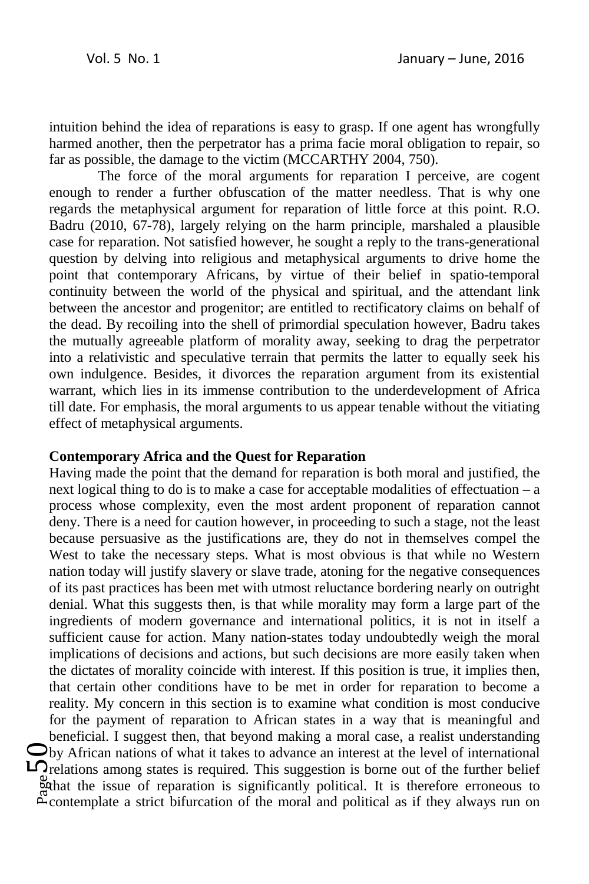intuition behind the idea of reparations is easy to grasp. If one agent has wrongfully harmed another, then the perpetrator has a prima facie moral obligation to repair, so far as possible, the damage to the victim (MCCARTHY 2004, 750).

The force of the moral arguments for reparation I perceive, are cogent enough to render a further obfuscation of the matter needless. That is why one regards the metaphysical argument for reparation of little force at this point. R.O. Badru (2010, 67-78), largely relying on the harm principle, marshaled a plausible case for reparation. Not satisfied however, he sought a reply to the trans-generational question by delving into religious and metaphysical arguments to drive home the point that contemporary Africans, by virtue of their belief in spatio-temporal continuity between the world of the physical and spiritual, and the attendant link between the ancestor and progenitor; are entitled to rectificatory claims on behalf of the dead. By recoiling into the shell of primordial speculation however, Badru takes the mutually agreeable platform of morality away, seeking to drag the perpetrator into a relativistic and speculative terrain that permits the latter to equally seek his own indulgence. Besides, it divorces the reparation argument from its existential warrant, which lies in its immense contribution to the underdevelopment of Africa till date. For emphasis, the moral arguments to us appear tenable without the vitiating effect of metaphysical arguments.

### **Contemporary Africa and the Quest for Reparation**

 $\mathbf{D}_{\text{cell}}^{\text{by}}$ Having made the point that the demand for reparation is both moral and justified, the next logical thing to do is to make a case for acceptable modalities of effectuation – a process whose complexity, even the most ardent proponent of reparation cannot deny. There is a need for caution however, in proceeding to such a stage, not the least because persuasive as the justifications are, they do not in themselves compel the West to take the necessary steps. What is most obvious is that while no Western nation today will justify slavery or slave trade, atoning for the negative consequences of its past practices has been met with utmost reluctance bordering nearly on outright denial. What this suggests then, is that while morality may form a large part of the ingredients of modern governance and international politics, it is not in itself a sufficient cause for action. Many nation-states today undoubtedly weigh the moral implications of decisions and actions, but such decisions are more easily taken when the dictates of morality coincide with interest. If this position is true, it implies then, that certain other conditions have to be met in order for reparation to become a reality. My concern in this section is to examine what condition is most conducive for the payment of reparation to African states in a way that is meaningful and beneficial. I suggest then, that beyond making a moral case, a realist understanding by African nations of what it takes to advance an interest at the level of international  $L$ Prelations among states is required. This suggestion is borne out of the further belief that the issue of reparation is significantly political. It is therefore erroneous to contemplate a strict bifurcation of the moral and political as if they always run on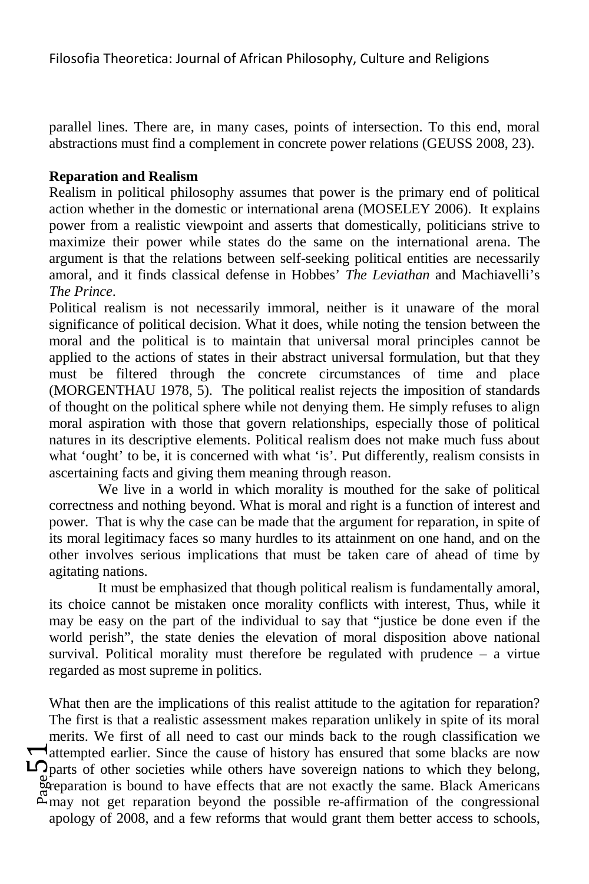parallel lines. There are, in many cases, points of intersection. To this end, moral abstractions must find a complement in concrete power relations (GEUSS 2008, 23).

## **Reparation and Realism**

Realism in political philosophy assumes that power is the primary end of political action whether in the domestic or international arena (MOSELEY 2006). It explains power from a realistic viewpoint and asserts that domestically, politicians strive to maximize their power while states do the same on the international arena. The argument is that the relations between self-seeking political entities are necessarily amoral, and it finds classical defense in Hobbes' *The Leviathan* and Machiavelli's *The Prince*.

Political realism is not necessarily immoral, neither is it unaware of the moral significance of political decision. What it does, while noting the tension between the moral and the political is to maintain that universal moral principles cannot be applied to the actions of states in their abstract universal formulation, but that they must be filtered through the concrete circumstances of time and place (MORGENTHAU 1978, 5). The political realist rejects the imposition of standards of thought on the political sphere while not denying them. He simply refuses to align moral aspiration with those that govern relationships, especially those of political natures in its descriptive elements. Political realism does not make much fuss about what 'ought' to be, it is concerned with what 'is'. Put differently, realism consists in ascertaining facts and giving them meaning through reason.

We live in a world in which morality is mouthed for the sake of political correctness and nothing beyond. What is moral and right is a function of interest and power. That is why the case can be made that the argument for reparation, in spite of its moral legitimacy faces so many hurdles to its attainment on one hand, and on the other involves serious implications that must be taken care of ahead of time by agitating nations.

It must be emphasized that though political realism is fundamentally amoral, its choice cannot be mistaken once morality conflicts with interest, Thus, while it may be easy on the part of the individual to say that "justice be done even if the world perish", the state denies the elevation of moral disposition above national survival. Political morality must therefore be regulated with prudence – a virtue regarded as most supreme in politics.

 $\mathbf{L}$ att $\mathbf{L}$ par<br> $\mathbf{g}_{\text{ref}}^{\text{b}}$ What then are the implications of this realist attitude to the agitation for reparation? The first is that a realistic assessment makes reparation unlikely in spite of its moral merits. We first of all need to cast our minds back to the rough classification we distempted earlier. Since the cause of history has ensured that some blacks are now  $\Box$  parts of other societies while others have sovereign nations to which they belong, reparation is bound to have effects that are not exactly the same. Black Americans may not get reparation beyond the possible re-affirmation of the congressional apology of 2008, and a few reforms that would grant them better access to schools,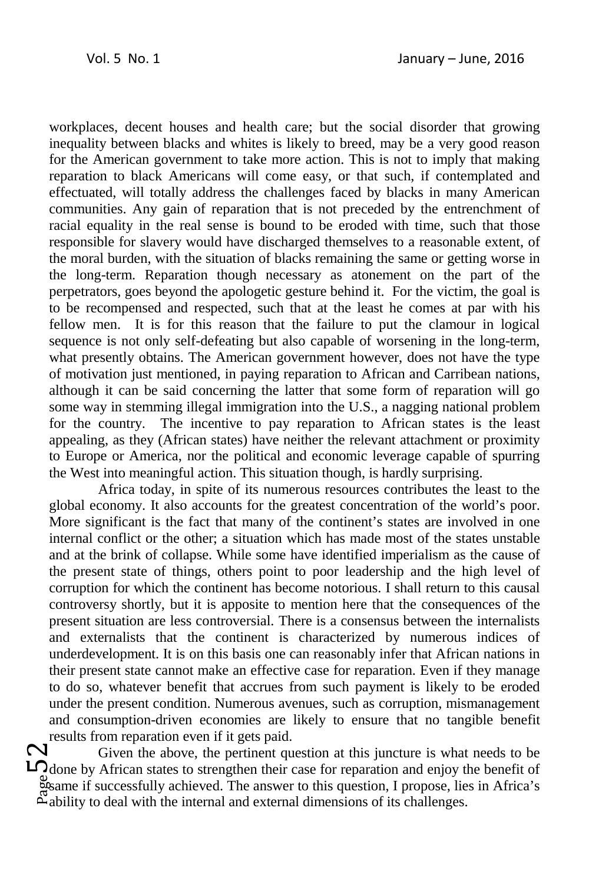workplaces, decent houses and health care; but the social disorder that growing inequality between blacks and whites is likely to breed, may be a very good reason for the American government to take more action. This is not to imply that making reparation to black Americans will come easy, or that such, if contemplated and effectuated, will totally address the challenges faced by blacks in many American communities. Any gain of reparation that is not preceded by the entrenchment of racial equality in the real sense is bound to be eroded with time, such that those responsible for slavery would have discharged themselves to a reasonable extent, of the moral burden, with the situation of blacks remaining the same or getting worse in the long-term. Reparation though necessary as atonement on the part of the perpetrators, goes beyond the apologetic gesture behind it. For the victim, the goal is to be recompensed and respected, such that at the least he comes at par with his fellow men. It is for this reason that the failure to put the clamour in logical sequence is not only self-defeating but also capable of worsening in the long-term, what presently obtains. The American government however, does not have the type of motivation just mentioned, in paying reparation to African and Carribean nations, although it can be said concerning the latter that some form of reparation will go some way in stemming illegal immigration into the U.S., a nagging national problem for the country. The incentive to pay reparation to African states is the least appealing, as they (African states) have neither the relevant attachment or proximity to Europe or America, nor the political and economic leverage capable of spurring the West into meaningful action. This situation though, is hardly surprising.

Africa today, in spite of its numerous resources contributes the least to the global economy. It also accounts for the greatest concentration of the world's poor. More significant is the fact that many of the continent's states are involved in one internal conflict or the other; a situation which has made most of the states unstable and at the brink of collapse. While some have identified imperialism as the cause of the present state of things, others point to poor leadership and the high level of corruption for which the continent has become notorious. I shall return to this causal controversy shortly, but it is apposite to mention here that the consequences of the present situation are less controversial. There is a consensus between the internalists and externalists that the continent is characterized by numerous indices of underdevelopment. It is on this basis one can reasonably infer that African nations in their present state cannot make an effective case for reparation. Even if they manage to do so, whatever benefit that accrues from such payment is likely to be eroded under the present condition. Numerous avenues, such as corruption, mismanagement and consumption-driven economies are likely to ensure that no tangible benefit results from reparation even if it gets paid.<br>
Since the above the pertinent our

 $\Omega_{\rm gga}^{\rm bol}$ Given the above, the pertinent question at this juncture is what needs to be  $\square$  done by African states to strengthen their case for reparation and enjoy the benefit of same if successfully achieved. The answer to this question, I propose, lies in Africa's ability to deal with the internal and external dimensions of its challenges.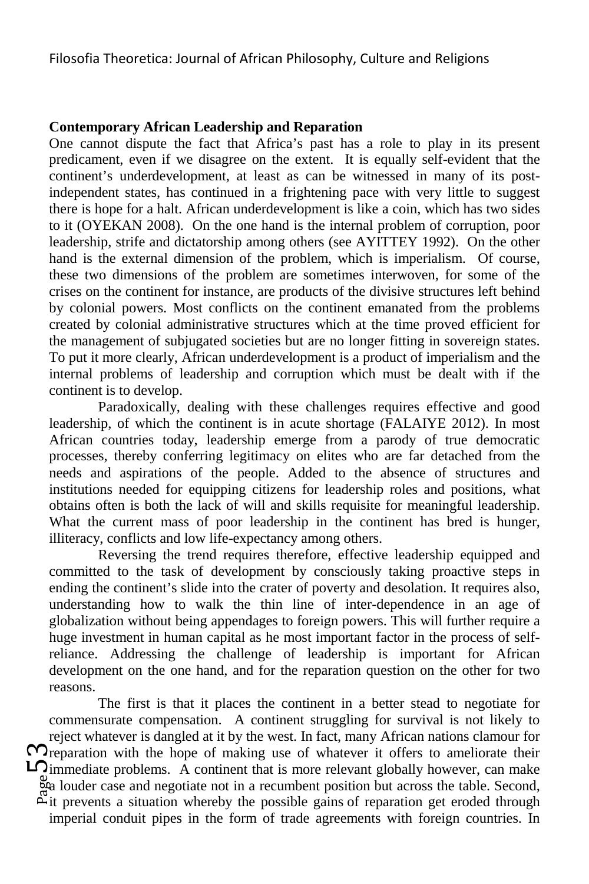### **Contemporary African Leadership and Reparation**

One cannot dispute the fact that Africa's past has a role to play in its present predicament, even if we disagree on the extent. It is equally self-evident that the continent's underdevelopment, at least as can be witnessed in many of its postindependent states, has continued in a frightening pace with very little to suggest there is hope for a halt. African underdevelopment is like a coin, which has two sides to it (OYEKAN 2008). On the one hand is the internal problem of corruption, poor leadership, strife and dictatorship among others (see AYITTEY 1992). On the other hand is the external dimension of the problem, which is imperialism. Of course, these two dimensions of the problem are sometimes interwoven, for some of the crises on the continent for instance, are products of the divisive structures left behind by colonial powers. Most conflicts on the continent emanated from the problems created by colonial administrative structures which at the time proved efficient for the management of subjugated societies but are no longer fitting in sovereign states. To put it more clearly, African underdevelopment is a product of imperialism and the internal problems of leadership and corruption which must be dealt with if the continent is to develop.

Paradoxically, dealing with these challenges requires effective and good leadership, of which the continent is in acute shortage (FALAIYE 2012). In most African countries today, leadership emerge from a parody of true democratic processes, thereby conferring legitimacy on elites who are far detached from the needs and aspirations of the people. Added to the absence of structures and institutions needed for equipping citizens for leadership roles and positions, what obtains often is both the lack of will and skills requisite for meaningful leadership. What the current mass of poor leadership in the continent has bred is hunger, illiteracy, conflicts and low life-expectancy among others.

Reversing the trend requires therefore, effective leadership equipped and committed to the task of development by consciously taking proactive steps in ending the continent's slide into the crater of poverty and desolation. It requires also, understanding how to walk the thin line of inter-dependence in an age of globalization without being appendages to foreign powers. This will further require a huge investment in human capital as he most important factor in the process of selfreliance. Addressing the challenge of leadership is important for African development on the one hand, and for the reparation question on the other for two reasons.

 $\mathcal{D}_{\text{gen}\atop \text{Eq}}\ \Omega_{\text{gen}\atop \text{in}}^{\text{per}}$ The first is that it places the continent in a better stead to negotiate for commensurate compensation. A continent struggling for survival is not likely to reject whatever is dangled at it by the west. In fact, many African nations clamour for  $\Omega$  reparation with the hope of making use of whatever it offers to ameliorate their **LO** immediate problems. A continent that is more relevant globally however, can make a louder case and negotiate not in a recumbent position but across the table. Second, it prevents a situation whereby the possible gains of reparation get eroded through imperial conduit pipes in the form of trade agreements with foreign countries. In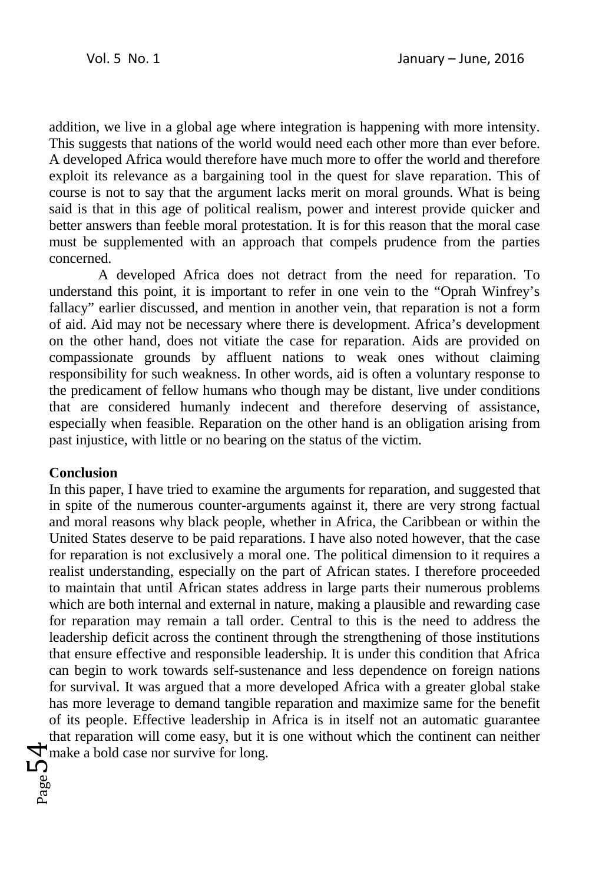addition, we live in a global age where integration is happening with more intensity. This suggests that nations of the world would need each other more than ever before. A developed Africa would therefore have much more to offer the world and therefore exploit its relevance as a bargaining tool in the quest for slave reparation. This of course is not to say that the argument lacks merit on moral grounds. What is being said is that in this age of political realism, power and interest provide quicker and better answers than feeble moral protestation. It is for this reason that the moral case must be supplemented with an approach that compels prudence from the parties concerned.

A developed Africa does not detract from the need for reparation. To understand this point, it is important to refer in one vein to the "Oprah Winfrey's fallacy" earlier discussed, and mention in another vein, that reparation is not a form of aid. Aid may not be necessary where there is development. Africa's development on the other hand, does not vitiate the case for reparation. Aids are provided on compassionate grounds by affluent nations to weak ones without claiming responsibility for such weakness. In other words, aid is often a voluntary response to the predicament of fellow humans who though may be distant, live under conditions that are considered humanly indecent and therefore deserving of assistance, especially when feasible. Reparation on the other hand is an obligation arising from past injustice, with little or no bearing on the status of the victim.

### **Conclusion**

Page<sup>7</sup> In this paper, I have tried to examine the arguments for reparation, and suggested that in spite of the numerous counter-arguments against it, there are very strong factual and moral reasons why black people, whether in Africa, the Caribbean or within the United States deserve to be paid reparations. I have also noted however, that the case for reparation is not exclusively a moral one. The political dimension to it requires a realist understanding, especially on the part of African states. I therefore proceeded to maintain that until African states address in large parts their numerous problems which are both internal and external in nature, making a plausible and rewarding case for reparation may remain a tall order. Central to this is the need to address the leadership deficit across the continent through the strengthening of those institutions that ensure effective and responsible leadership. It is under this condition that Africa can begin to work towards self-sustenance and less dependence on foreign nations for survival. It was argued that a more developed Africa with a greater global stake has more leverage to demand tangible reparation and maximize same for the benefit of its people. Effective leadership in Africa is in itself not an automatic guarantee that reparation will come easy, but it is one without which the continent can neither  $\blacktriangledown$  make a bold case nor survive for long.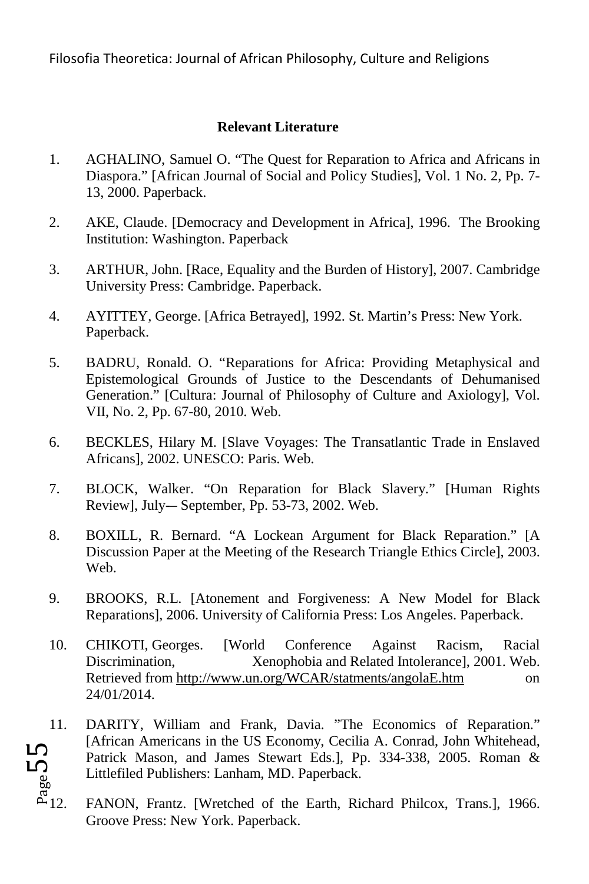- 1. AGHALINO, Samuel O. "The Quest for Reparation to Africa and Africans in Diaspora." [African Journal of Social and Policy Studies], Vol. 1 No. 2, Pp. 7- 13, 2000. Paperback.
- 2. AKE, Claude. [Democracy and Development in Africa], 1996. The Brooking Institution: Washington. Paperback
- 3. ARTHUR, John. [Race, Equality and the Burden of History], 2007. Cambridge University Press: Cambridge. Paperback.
- 4. AYITTEY, George. [Africa Betrayed], 1992. St. Martin's Press: New York. Paperback.
- 5. BADRU, Ronald. O. "Reparations for Africa: Providing Metaphysical and Epistemological Grounds of Justice to the Descendants of Dehumanised Generation." [Cultura: Journal of Philosophy of Culture and Axiology], Vol. VII, No. 2, Pp. 67-80, 2010. Web.
- 6. BECKLES, Hilary M. [Slave Voyages: The Transatlantic Trade in Enslaved Africans], 2002. UNESCO: Paris. Web.
- 7. BLOCK, Walker. "On Reparation for Black Slavery." [Human Rights Review], July-– September, Pp. 53-73, 2002. Web.
- 8. BOXILL, R. Bernard. "A Lockean Argument for Black Reparation." [A Discussion Paper at the Meeting of the Research Triangle Ethics Circle], 2003. Web.
- 9. BROOKS, R.L. [Atonement and Forgiveness: A New Model for Black Reparations], 2006. University of California Press: Los Angeles. Paperback.
- 10. CHIKOTI, Georges. [World Conference Against Racism, Racial Discrimination, Xenophobia and Related Intolerance], 2001. Web. Retrieved from http://www.un.org/WCAR/statments/angolaE.htm on 24/01/2014.
- **Relevant Literature**<br>
1. AGHALINO, Samuel O. "The Quest for Re<br>
2. Diaspora." [African Journal of Social and Pe<br>
13, 2000. Paperback.<br>
2. AKE, Claude. [Democracy and Developmer<br>
Institution: Washington. Paperback<br>
3. ARTH 11. DARITY, William and Frank, Davia. "The Economics of Reparation." [African Americans in the US Economy, Cecilia A. Conrad, John Whitehead, Patrick Mason, and James Stewart Eds.], Pp. 334-338, 2005. Roman & Littlefiled Publishers: Lanham, MD. Paperback. 13. Fantason, and James Stewart Eds.], Pp. 334-338, 2005. Roman &<br>Littlefiled Publishers: Lanham, MD. Paperback.<br> $\overset{\text{ex}}{\triangle}$ 12. FANON, Frantz. [Wretched of the Earth, Richard Philcox, Trans.], 1966.<br>Groove Press: New Yor
	-
- Groove Press: New York. Paperback.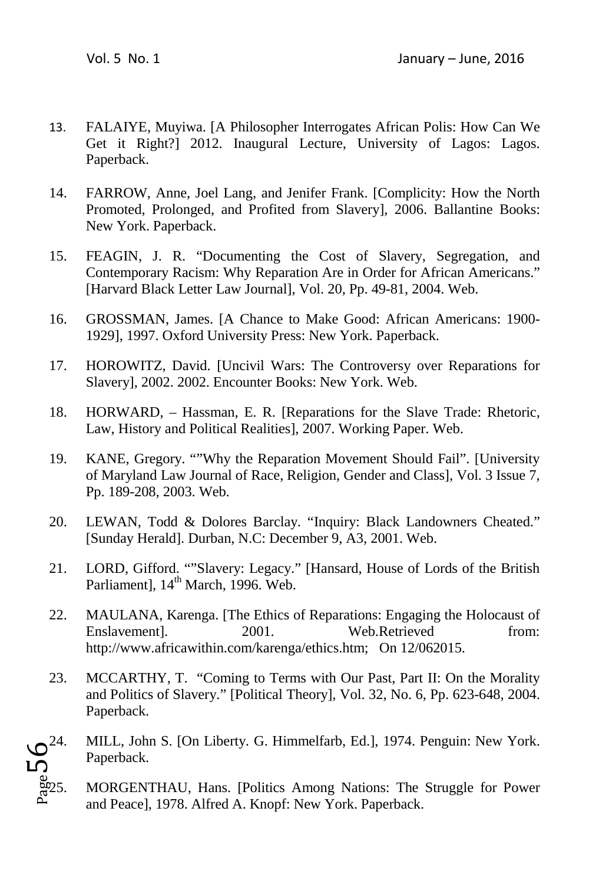- 13. FALAIYE, Muyiwa. [A Philosopher Interrogates African Polis: How Can We Get it Right?] 2012. Inaugural Lecture, University of Lagos: Lagos. Paperback.
- 14. FARROW, Anne, Joel Lang, and Jenifer Frank. [Complicity: How the North Promoted, Prolonged, and Profited from Slavery], 2006. Ballantine Books: New York. Paperback.
- 15. FEAGIN, J. R. "Documenting the Cost of Slavery, Segregation, and Contemporary Racism: Why Reparation Are in Order for African Americans." [Harvard Black Letter Law Journal], Vol. 20, Pp. 49-81, 2004. Web.
- 16. GROSSMAN, James. [A Chance to Make Good: African Americans: 1900- 1929], 1997. Oxford University Press: New York. Paperback.
- 17. HOROWITZ, David. [Uncivil Wars: The Controversy over Reparations for Slavery], 2002. 2002. Encounter Books: New York. Web.
- 18. HORWARD, Hassman, E. R. [Reparations for the Slave Trade: Rhetoric, Law, History and Political Realities], 2007. Working Paper. Web.
- 19. KANE, Gregory. ""Why the Reparation Movement Should Fail". [University of Maryland Law Journal of Race, Religion, Gender and Class], Vol. 3 Issue 7, Pp. 189-208, 2003. Web.
- 20. LEWAN, Todd & Dolores Barclay. "Inquiry: Black Landowners Cheated." [Sunday Herald]. Durban, N.C: December 9, A3, 2001. Web.
- 21. LORD, Gifford. ""Slavery: Legacy." [Hansard, House of Lords of the British Parliamentl,  $14^{th}$  March, 1996. Web.
- 22. MAULANA, Karenga. [The Ethics of Reparations: Engaging the Holocaust of Enslavement. 2001. Web.Retrieved from: http://www.africawithin.com/karenga/ethics.htm; On 12/062015.
- 23. MCCARTHY, T. "Coming to Terms with Our Past, Part II: On the Morality and Politics of Slavery." [Political Theory], Vol. 32, No. 6, Pp. 623-648, 2004. Paperback.
- $\sum_{\text{agg5}}$ 24. MILL, John S. [On Liberty. G. Himmelfarb, Ed.], 1974. Penguin: New York. Paperback.
	- 25. MORGENTHAU, Hans. [Politics Among Nations: The Struggle for Power and Peace], 1978. Alfred A. Knopf: New York. Paperback.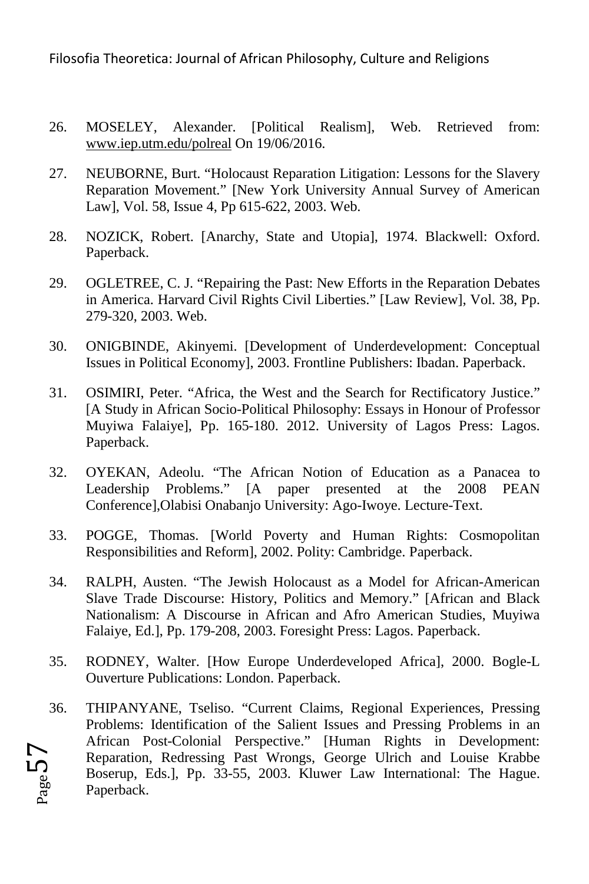- 26. MOSELEY, Alexander. [Political Realism], Web. Retrieved from: www.iep.utm.edu/polreal On 19/06/2016.
- 27. NEUBORNE, Burt. "Holocaust Reparation Litigation: Lessons for the Slavery Reparation Movement." [New York University Annual Survey of American Law], Vol. 58, Issue 4, Pp 615-622, 2003. Web.
- 28. NOZICK, Robert. [Anarchy, State and Utopia], 1974. Blackwell: Oxford. Paperback.
- 29. OGLETREE, C. J. "Repairing the Past: New Efforts in the Reparation Debates in America. Harvard Civil Rights Civil Liberties." [Law Review], Vol. 38, Pp. 279-320, 2003. Web.
- 30. ONIGBINDE, Akinyemi. [Development of Underdevelopment: Conceptual Issues in Political Economy], 2003. Frontline Publishers: Ibadan. Paperback.
- 31. OSIMIRI, Peter. "Africa, the West and the Search for Rectificatory Justice." [A Study in African Socio-Political Philosophy: Essays in Honour of Professor Muyiwa Falaiye], Pp. 165-180. 2012. University of Lagos Press: Lagos. Paperback.
- 32. OYEKAN, Adeolu. "The African Notion of Education as a Panacea to Leadership Problems." [A paper presented at the 2008 PEAN Conference],Olabisi Onabanjo University: Ago-Iwoye. Lecture-Text.
- 33. POGGE, Thomas. [World Poverty and Human Rights: Cosmopolitan Responsibilities and Reform], 2002. Polity: Cambridge. Paperback.
- 34. RALPH, Austen. "The Jewish Holocaust as a Model for African-American Slave Trade Discourse: History, Politics and Memory." [African and Black Nationalism: A Discourse in African and Afro American Studies, Muyiwa Falaiye, Ed.], Pp. 179-208, 2003. Foresight Press: Lagos. Paperback.
- 35. RODNEY, Walter. [How Europe Underdeveloped Africa], 2000. Bogle-L Ouverture Publications: London. Paperback.
- $P<sub>age</sub>57$ 36. THIPANYANE, Tseliso. "Current Claims, Regional Experiences, Pressing Problems: Identification of the Salient Issues and Pressing Problems in an African Post-Colonial Perspective." [Human Rights in Development: Reparation, Redressing Past Wrongs, George Ulrich and Louise Krabbe Boserup, Eds.], Pp. 33-55, 2003. Kluwer Law International: The Hague. Paperback.